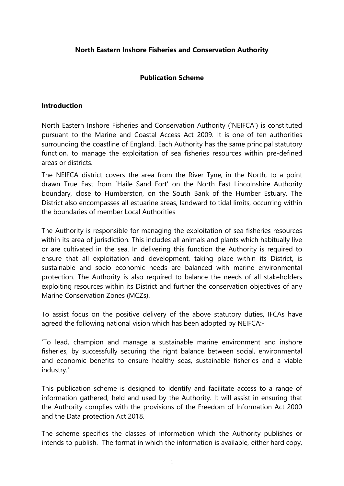# **North Eastern Inshore Fisheries and Conservation Authority**

# **Publication Scheme**

#### **Introduction**

North Eastern Inshore Fisheries and Conservation Authority (`NEIFCA') is constituted pursuant to the Marine and Coastal Access Act 2009. It is one of ten authorities surrounding the coastline of England. Each Authority has the same principal statutory function, to manage the exploitation of sea fisheries resources within pre-defined areas or districts.

The NEIFCA district covers the area from the River Tyne, in the North, to a point drawn True East from `Haile Sand Fort' on the North East Lincolnshire Authority boundary, close to Humberston, on the South Bank of the Humber Estuary. The District also encompasses all estuarine areas, landward to tidal limits, occurring within the boundaries of member Local Authorities

The Authority is responsible for managing the exploitation of sea fisheries resources within its area of jurisdiction. This includes all animals and plants which habitually live or are cultivated in the sea. In delivering this function the Authority is required to ensure that all exploitation and development, taking place within its District, is sustainable and socio economic needs are balanced with marine environmental protection. The Authority is also required to balance the needs of all stakeholders exploiting resources within its District and further the conservation objectives of any Marine Conservation Zones (MCZs).

To assist focus on the positive delivery of the above statutory duties, IFCAs have agreed the following national vision which has been adopted by NEIFCA:-

'To lead, champion and manage a sustainable marine environment and inshore fisheries, by successfully securing the right balance between social, environmental and economic benefits to ensure healthy seas, sustainable fisheries and a viable industry.'

This publication scheme is designed to identify and facilitate access to a range of information gathered, held and used by the Authority. It will assist in ensuring that the Authority complies with the provisions of the Freedom of Information Act 2000 and the Data protection Act 2018.

The scheme specifies the classes of information which the Authority publishes or intends to publish. The format in which the information is available, either hard copy,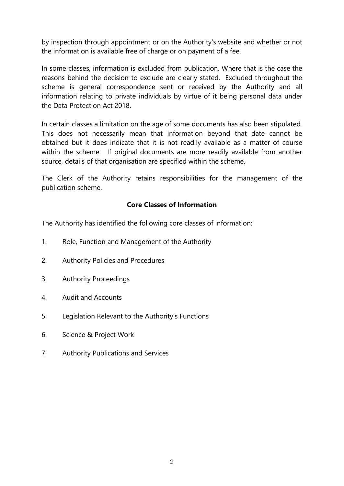by inspection through appointment or on the Authority's website and whether or not the information is available free of charge or on payment of a fee.

In some classes, information is excluded from publication. Where that is the case the reasons behind the decision to exclude are clearly stated. Excluded throughout the scheme is general correspondence sent or received by the Authority and all information relating to private individuals by virtue of it being personal data under the Data Protection Act 2018.

In certain classes a limitation on the age of some documents has also been stipulated. This does not necessarily mean that information beyond that date cannot be obtained but it does indicate that it is not readily available as a matter of course within the scheme. If original documents are more readily available from another source, details of that organisation are specified within the scheme.

The Clerk of the Authority retains responsibilities for the management of the publication scheme.

# **Core Classes of Information**

The Authority has identified the following core classes of information:

- 1. Role, Function and Management of the Authority
- 2. Authority Policies and Procedures
- 3. Authority Proceedings
- 4. Audit and Accounts
- 5. Legislation Relevant to the Authority's Functions
- 6. Science & Project Work
- 7. Authority Publications and Services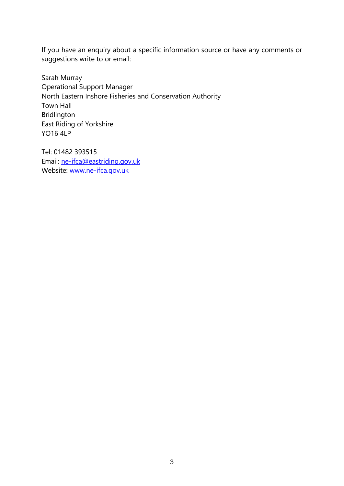If you have an enquiry about a specific information source or have any comments or suggestions write to or email:

Sarah Murray Operational Support Manager North Eastern Inshore Fisheries and Conservation Authority Town Hall Bridlington East Riding of Yorkshire YO16 4LP

Tel: 01482 393515 Email: [ne-ifca@eastriding.gov.uk](mailto:ne-ifca@eastriding.gov.uk) Website: [www.ne-ifca.gov.uk](http://www.ne-ifca.gov.uk/)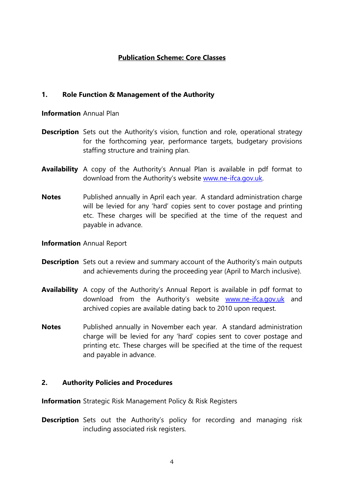## **Publication Scheme: Core Classes**

#### **1. Role Function & Management of the Authority**

#### **Information** Annual Plan

- **Description** Sets out the Authority's vision, function and role, operational strategy for the forthcoming year, performance targets, budgetary provisions staffing structure and training plan.
- **Availability** A copy of the Authority's Annual Plan is available in pdf format to download from the Authority's website [www.ne-ifca.gov.uk.](http://www.ne-ifca.gov.uk/)
- **Notes** Published annually in April each year. A standard administration charge will be levied for any 'hard' copies sent to cover postage and printing etc. These charges will be specified at the time of the request and payable in advance.
- **Information** Annual Report
- **Description** Sets out a review and summary account of the Authority's main outputs and achievements during the proceeding year (April to March inclusive).
- **Availability** A copy of the Authority's Annual Report is available in pdf format to download from the Authority's website [www.ne-ifca.gov.uk](http://www.ne-ifca.gov.uk/) and archived copies are available dating back to 2010 upon request.
- **Notes** Published annually in November each year. A standard administration charge will be levied for any 'hard' copies sent to cover postage and printing etc. These charges will be specified at the time of the request and payable in advance.

## **2. Authority Policies and Procedures**

**Information** Strategic Risk Management Policy & Risk Registers

**Description** Sets out the Authority's policy for recording and managing risk including associated risk registers.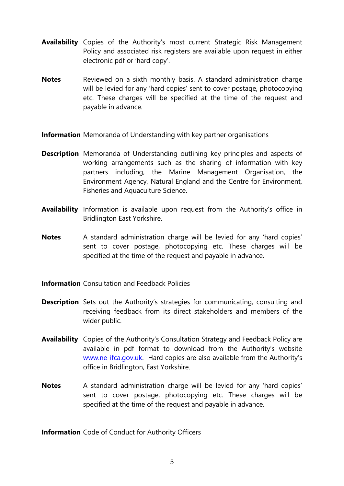- **Availability** Copies of the Authority's most current Strategic Risk Management Policy and associated risk registers are available upon request in either electronic pdf or 'hard copy'.
- **Notes** Reviewed on a sixth monthly basis. A standard administration charge will be levied for any 'hard copies' sent to cover postage, photocopying etc. These charges will be specified at the time of the request and payable in advance.

**Information** Memoranda of Understanding with key partner organisations

- **Description** Memoranda of Understanding outlining key principles and aspects of working arrangements such as the sharing of information with key partners including, the Marine Management Organisation, the Environment Agency, Natural England and the Centre for Environment, Fisheries and Aquaculture Science.
- **Availability** Information is available upon request from the Authority's office in Bridlington East Yorkshire.
- **Notes** A standard administration charge will be levied for any 'hard copies' sent to cover postage, photocopying etc. These charges will be specified at the time of the request and payable in advance.
- **Information** Consultation and Feedback Policies
- **Description** Sets out the Authority's strategies for communicating, consulting and receiving feedback from its direct stakeholders and members of the wider public.
- **Availability** Copies of the Authority's Consultation Strategy and Feedback Policy are available in pdf format to download from the Authority's website [www.ne-ifca.gov.uk.](http://www.ne-ifca.gov.uk/) Hard copies are also available from the Authority's office in Bridlington, East Yorkshire.
- **Notes** A standard administration charge will be levied for any 'hard copies' sent to cover postage, photocopying etc. These charges will be specified at the time of the request and payable in advance.

**Information** Code of Conduct for Authority Officers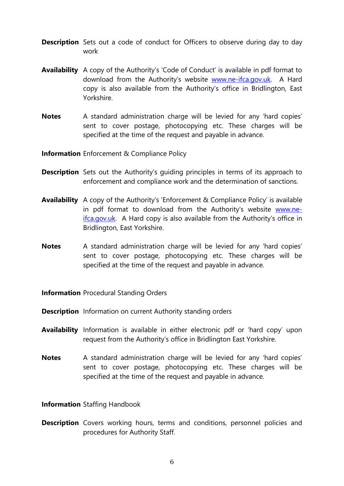- **Description** Sets out a code of conduct for Officers to observe during day to day work
- **Availability** A copy of the Authority's 'Code of Conduct' is available in pdf format to download from the Authority's website [www.ne-ifca.gov.uk.](http://www.ne-ifca.gov.uk/) A Hard copy is also available from the Authority's office in Bridlington, East Yorkshire.
- **Notes** A standard administration charge will be levied for any 'hard copies' sent to cover postage, photocopying etc. These charges will be specified at the time of the request and payable in advance.

**Information** Enforcement & Compliance Policy

- **Description** Sets out the Authority's quiding principles in terms of its approach to enforcement and compliance work and the determination of sanctions.
- **Availability** A copy of the Authority's 'Enforcement & Compliance Policy' is available in pdf format to download from the Authority's website [www.ne](http://www.ne-ifca.gov.uk/)[ifca.gov.uk.](http://www.ne-ifca.gov.uk/) A Hard copy is also available from the Authority's office in Bridlington, East Yorkshire.
- **Notes** A standard administration charge will be levied for any 'hard copies' sent to cover postage, photocopying etc. These charges will be specified at the time of the request and payable in advance.

**Information** Procedural Standing Orders

- **Description** Information on current Authority standing orders
- **Availability** Information is available in either electronic pdf or 'hard copy' upon request from the Authority's office in Bridlington East Yorkshire.
- **Notes** A standard administration charge will be levied for any 'hard copies' sent to cover postage, photocopying etc. These charges will be specified at the time of the request and payable in advance.

**Information** Staffing Handbook

**Description** Covers working hours, terms and conditions, personnel policies and procedures for Authority Staff.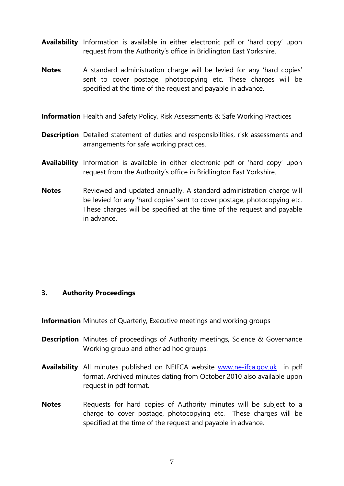- **Availability** Information is available in either electronic pdf or 'hard copy' upon request from the Authority's office in Bridlington East Yorkshire.
- **Notes** A standard administration charge will be levied for any 'hard copies' sent to cover postage, photocopying etc. These charges will be specified at the time of the request and payable in advance.
- **Information** Health and Safety Policy, Risk Assessments & Safe Working Practices
- **Description** Detailed statement of duties and responsibilities, risk assessments and arrangements for safe working practices.
- **Availability** Information is available in either electronic pdf or 'hard copy' upon request from the Authority's office in Bridlington East Yorkshire.
- **Notes** Reviewed and updated annually. A standard administration charge will be levied for any 'hard copies' sent to cover postage, photocopying etc. These charges will be specified at the time of the request and payable in advance.

## **3. Authority Proceedings**

**Information** Minutes of Quarterly, Executive meetings and working groups

- **Description** Minutes of proceedings of Authority meetings, Science & Governance Working group and other ad hoc groups.
- **Availability** All minutes published on NEIFCA website [www.ne-ifca.gov.uk](http://www.ne-ifca.gov.uk/) in pdf format. Archived minutes dating from October 2010 also available upon request in pdf format.
- **Notes** Requests for hard copies of Authority minutes will be subject to a charge to cover postage, photocopying etc. These charges will be specified at the time of the request and payable in advance.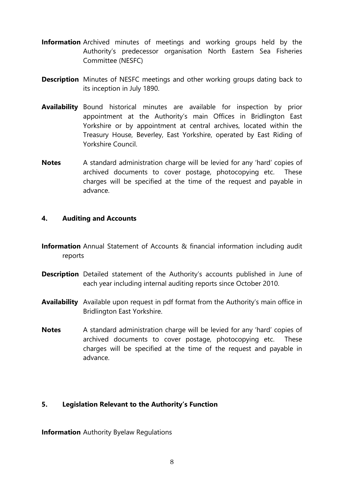- **Information** Archived minutes of meetings and working groups held by the Authority's predecessor organisation North Eastern Sea Fisheries Committee (NESFC)
- **Description** Minutes of NESFC meetings and other working groups dating back to its inception in July 1890.
- **Availability** Bound historical minutes are available for inspection by prior appointment at the Authority's main Offices in Bridlington East Yorkshire or by appointment at central archives, located within the Treasury House, Beverley, East Yorkshire, operated by East Riding of Yorkshire Council.
- **Notes** A standard administration charge will be levied for any 'hard' copies of archived documents to cover postage, photocopying etc. These charges will be specified at the time of the request and payable in advance.

#### **4. Auditing and Accounts**

- **Information** Annual Statement of Accounts & financial information including audit reports
- **Description** Detailed statement of the Authority's accounts published in June of each year including internal auditing reports since October 2010.
- **Availability** Available upon request in pdf format from the Authority's main office in Bridlington East Yorkshire.
- **Notes** A standard administration charge will be levied for any 'hard' copies of archived documents to cover postage, photocopying etc. These charges will be specified at the time of the request and payable in advance.

## **5. Legislation Relevant to the Authority's Function**

**Information** Authority Byelaw Regulations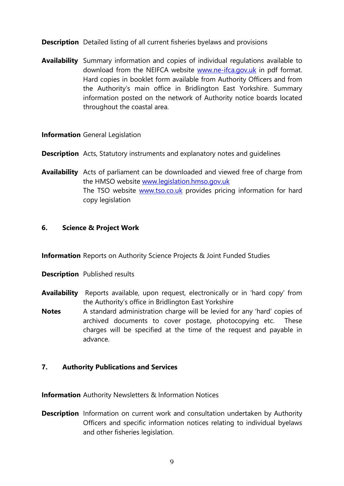**Description** Detailed listing of all current fisheries byelaws and provisions

**Availability** Summary information and copies of individual regulations available to download from the NEIFCA website [www.ne-ifca.gov.uk](http://www.ne-ifca.gov.uk/) in pdf format. Hard copies in booklet form available from Authority Officers and from the Authority's main office in Bridlington East Yorkshire. Summary information posted on the network of Authority notice boards located throughout the coastal area.

#### **Information** General Legislation

- **Description** Acts, Statutory instruments and explanatory notes and quidelines
- **Availability** Acts of parliament can be downloaded and viewed free of charge from the HMSO website [www.legislation.hmso.gov.uk](http://www.legislation.hmso.gov.uk/) The TSO website [www.tso.co.uk](http://www.tso.co.uk/) provides pricing information for hard copy legislation

## **6. Science & Project Work**

**Information** Reports on Authority Science Projects & Joint Funded Studies

- **Description** Published results
- **Availability** Reports available, upon request, electronically or in 'hard copy' from the Authority's office in Bridlington East Yorkshire
- **Notes** A standard administration charge will be levied for any 'hard' copies of archived documents to cover postage, photocopying etc. These charges will be specified at the time of the request and payable in advance.

## **7. Authority Publications and Services**

**Information** Authority Newsletters & Information Notices

**Description** Information on current work and consultation undertaken by Authority Officers and specific information notices relating to individual byelaws and other fisheries legislation.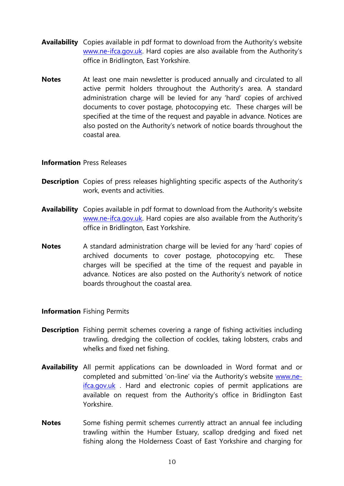- **Availability** Copies available in pdf format to download from the Authority's website [www.ne-ifca.gov.uk](http://www.ne-ifca.gov.uk/). Hard copies are also available from the Authority's office in Bridlington, East Yorkshire.
- **Notes** At least one main newsletter is produced annually and circulated to all active permit holders throughout the Authority's area. A standard administration charge will be levied for any 'hard' copies of archived documents to cover postage, photocopying etc. These charges will be specified at the time of the request and payable in advance. Notices are also posted on the Authority's network of notice boards throughout the coastal area.

#### **Information** Press Releases

- **Description** Copies of press releases highlighting specific aspects of the Authority's work, events and activities.
- **Availability** Copies available in pdf format to download from the Authority's website [www.ne-ifca.gov.uk](http://www.ne-ifca.gov.uk/). Hard copies are also available from the Authority's office in Bridlington, East Yorkshire.
- **Notes** A standard administration charge will be levied for any 'hard' copies of archived documents to cover postage, photocopying etc. These charges will be specified at the time of the request and payable in advance. Notices are also posted on the Authority's network of notice boards throughout the coastal area.

#### **Information** Fishing Permits

- **Description** Fishing permit schemes covering a range of fishing activities including trawling, dredging the collection of cockles, taking lobsters, crabs and whelks and fixed net fishing.
- **Availability** All permit applications can be downloaded in Word format and or completed and submitted 'on-line' via the Authority's website [www.ne](http://www.ne-ifca.gov.uk/)[ifca.gov.uk](http://www.ne-ifca.gov.uk/) . Hard and electronic copies of permit applications are available on request from the Authority's office in Bridlington East Yorkshire.
- **Notes** Some fishing permit schemes currently attract an annual fee including trawling within the Humber Estuary, scallop dredging and fixed net fishing along the Holderness Coast of East Yorkshire and charging for